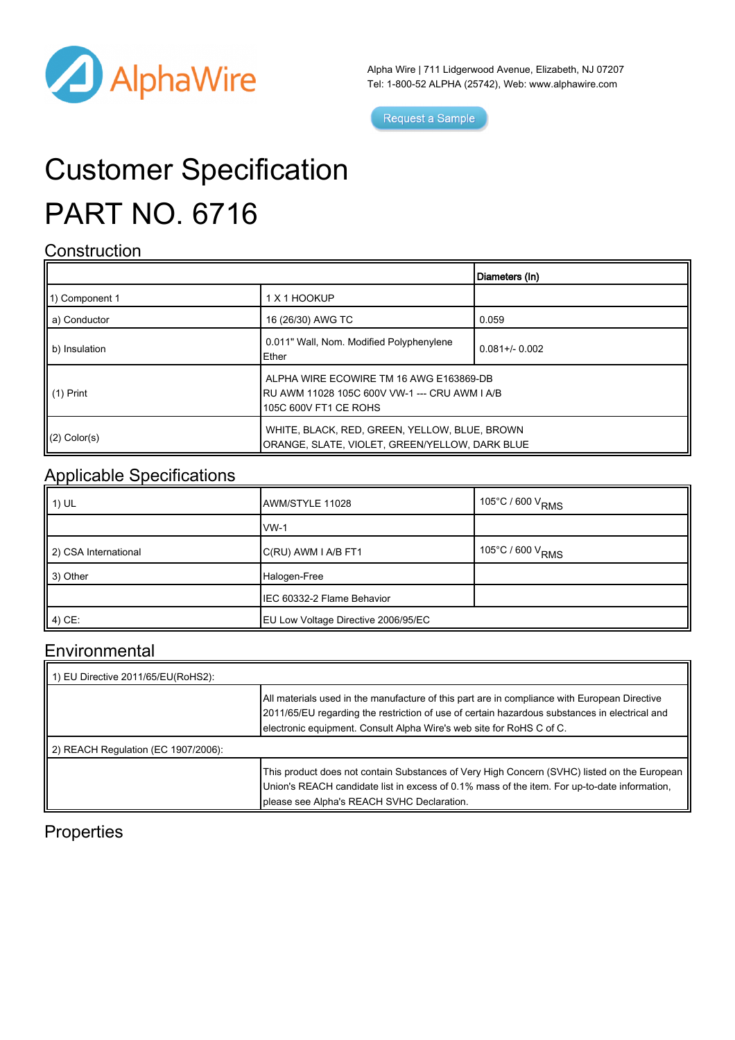

Alpha Wire | 711 Lidgerwood Avenue, Elizabeth, NJ 07207 Tel: 1-800-52 ALPHA (25742), Web: [www.alphawire.com](http://www.alphawire.com)

Request a Sample

# Customer Specification PART NO. 6716

#### **Construction**

|                 |                                                                                                                   | Diameters (In)      |
|-----------------|-------------------------------------------------------------------------------------------------------------------|---------------------|
| 11) Component 1 | 1 X 1 HOOKUP                                                                                                      |                     |
| a) Conductor    | 16 (26/30) AWG TC                                                                                                 | 0.059               |
| b) Insulation   | 0.011" Wall, Nom. Modified Polyphenylene<br>Ether                                                                 | $0.081 + / - 0.002$ |
| II (1) Print    | ALPHA WIRE ECOWIRE TM 16 AWG E163869-DB<br>RU AWM 11028 105C 600V VW-1 --- CRU AWM I A/B<br>105C 600V FT1 CE ROHS |                     |
| $(2)$ Color(s)  | WHITE, BLACK, RED, GREEN, YELLOW, BLUE, BROWN<br>ORANGE, SLATE, VIOLET, GREEN/YELLOW, DARK BLUE                   |                     |

### Applicable Specifications

| $\parallel$ 1) UL    | AWM/STYLE 11028                     | $\sim$ 105°C / 600 V <sub>RMS</sub> |
|----------------------|-------------------------------------|-------------------------------------|
|                      | $vw-1$                              |                                     |
| 2) CSA International | C(RU) AWM I A/B FT1                 | $\cdot$ 105°C / 600 V RMS           |
| $\parallel$ 3) Other | Halogen-Free                        |                                     |
|                      | IEC 60332-2 Flame Behavior          |                                     |
| $(4)$ CE:            | EU Low Voltage Directive 2006/95/EC |                                     |

#### Environmental

| 1) EU Directive 2011/65/EU(RoHS2):  |                                                                                                                                                                                                                                                                       |
|-------------------------------------|-----------------------------------------------------------------------------------------------------------------------------------------------------------------------------------------------------------------------------------------------------------------------|
|                                     | All materials used in the manufacture of this part are in compliance with European Directive<br>2011/65/EU regarding the restriction of use of certain hazardous substances in electrical and<br>electronic equipment. Consult Alpha Wire's web site for RoHS C of C. |
| 2) REACH Regulation (EC 1907/2006): |                                                                                                                                                                                                                                                                       |
|                                     | This product does not contain Substances of Very High Concern (SVHC) listed on the European<br>Union's REACH candidate list in excess of 0.1% mass of the item. For up-to-date information,<br>please see Alpha's REACH SVHC Declaration.                             |

### **Properties**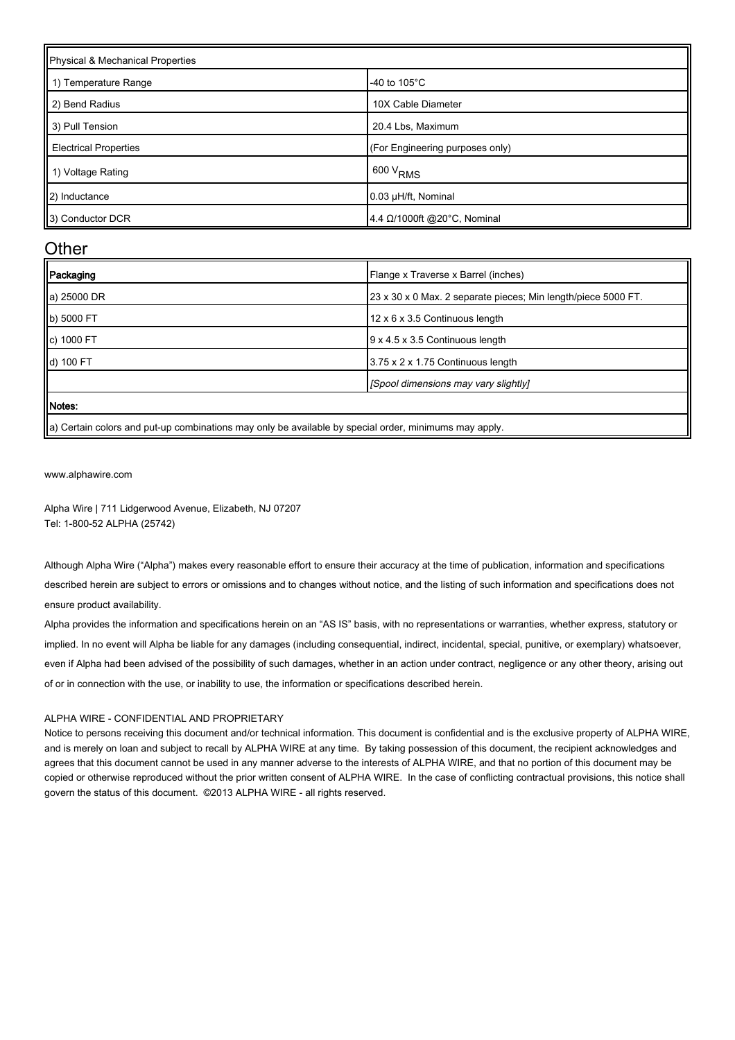| Physical & Mechanical Properties |                                 |  |
|----------------------------------|---------------------------------|--|
| 1) Temperature Range             | -40 to $105^{\circ}$ C          |  |
| 2) Bend Radius                   | 10X Cable Diameter              |  |
| 3) Pull Tension                  | 20.4 Lbs, Maximum               |  |
| <b>Electrical Properties</b>     | (For Engineering purposes only) |  |
| 1) Voltage Rating                | $1600 V_{RMS}$                  |  |
| 2) Inductance                    | 0.03 µH/ft, Nominal             |  |
| 3) Conductor DCR                 | 4.4 Ω/1000ft @20°C, Nominal     |  |

#### **Other**

| Packaging       | Flange x Traverse x Barrel (inches)                           |
|-----------------|---------------------------------------------------------------|
| a) 25000 DR     | 23 x 30 x 0 Max. 2 separate pieces; Min length/piece 5000 FT. |
| b) 5000 FT      | 12 x 6 x 3.5 Continuous length                                |
| C) 1000 FT      | 9 x 4.5 x 3.5 Continuous length                               |
| d) 100 FT       | 3.75 x 2 x 1.75 Continuous length                             |
|                 | [Spool dimensions may vary slightly]                          |
| Notes:          |                                                               |
| $\sim$ $     -$ |                                                               |

a) Certain colors and put-up combinations may only be available by special order, minimums may apply.

[www.alphawire.com](http://www.alphawire.com)

Alpha Wire | 711 Lidgerwood Avenue, Elizabeth, NJ 07207 Tel: 1-800-52 ALPHA (25742)

Although Alpha Wire ("Alpha") makes every reasonable effort to ensure their accuracy at the time of publication, information and specifications described herein are subject to errors or omissions and to changes without notice, and the listing of such information and specifications does not ensure product availability.

Alpha provides the information and specifications herein on an "AS IS" basis, with no representations or warranties, whether express, statutory or implied. In no event will Alpha be liable for any damages (including consequential, indirect, incidental, special, punitive, or exemplary) whatsoever, even if Alpha had been advised of the possibility of such damages, whether in an action under contract, negligence or any other theory, arising out of or in connection with the use, or inability to use, the information or specifications described herein.

#### ALPHA WIRE - CONFIDENTIAL AND PROPRIETARY

Notice to persons receiving this document and/or technical information. This document is confidential and is the exclusive property of ALPHA WIRE, and is merely on loan and subject to recall by ALPHA WIRE at any time. By taking possession of this document, the recipient acknowledges and agrees that this document cannot be used in any manner adverse to the interests of ALPHA WIRE, and that no portion of this document may be copied or otherwise reproduced without the prior written consent of ALPHA WIRE. In the case of conflicting contractual provisions, this notice shall govern the status of this document. ©2013 ALPHA WIRE - all rights reserved.